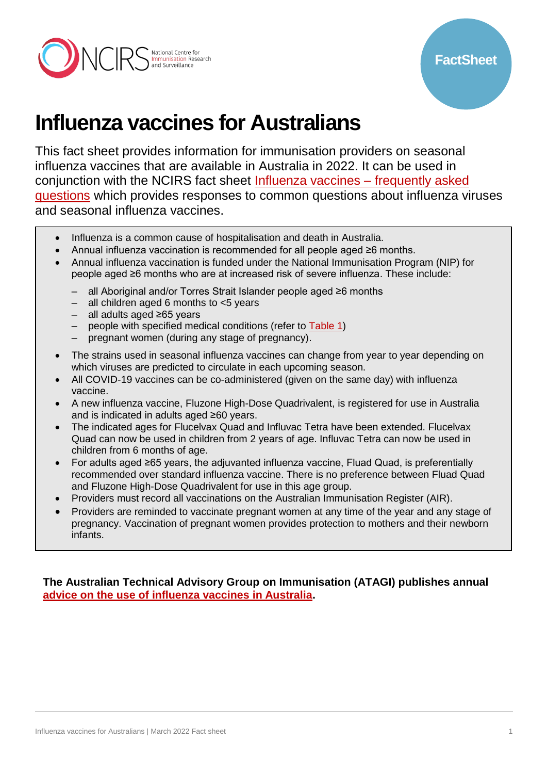

# **Influenza vaccines for Australians**

This fact sheet provides information for immunisation providers on seasonal influenza vaccines that are available in Australia in 2022. It can be used in conjunction with the NCIRS fact sheet [Influenza vaccines –](http://ncirs.org.au/ncirs-fact-sheets-faqs/influenza-vaccines-australians-faqs) frequently asked [questions](http://ncirs.org.au/ncirs-fact-sheets-faqs/influenza-vaccines-australians-faqs) which provides responses to common questions about influenza viruses and seasonal influenza vaccines.

- Influenza is a common cause of hospitalisation and death in Australia.
- Annual influenza vaccination is recommended for all people aged ≥6 months.
- Annual influenza vaccination is funded under the National Immunisation Program (NIP) for people aged ≥6 months who are at increased risk of severe influenza. These include:
	- all Aboriginal and/or Torres Strait Islander people aged ≥6 months
	- all children aged 6 months to <5 years
	- all adults aged ≥65 years
	- people with specified medical conditions (refer to [Table 1\)](#page-3-0)
	- pregnant women (during any stage of pregnancy).
- The strains used in seasonal influenza vaccines can change from year to year depending on which viruses are predicted to circulate in each upcoming season.
- All COVID-19 vaccines can be co-administered (given on the same day) with influenza vaccine.
- A new influenza vaccine, Fluzone High-Dose Quadrivalent, is registered for use in Australia and is indicated in adults aged ≥60 years.
- The indicated ages for Flucelvax Quad and Influvac Tetra have been extended. Flucelvax Quad can now be used in children from 2 years of age. Influvac Tetra can now be used in children from 6 months of age.
- For adults aged ≥65 years, the adjuvanted influenza vaccine, Fluad Quad, is preferentially recommended over standard influenza vaccine. There is no preference between Fluad Quad and Fluzone High-Dose Quadrivalent for use in this age group.
- Providers must record all vaccinations on the Australian Immunisation Register (AIR).
- Providers are reminded to vaccinate pregnant women at any time of the year and any stage of pregnancy. Vaccination of pregnant women provides protection to mothers and their newborn infants.

**The Australian Technical Advisory Group on Immunisation (ATAGI) publishes annual advice on the use of [influenza vaccines in Australia.](https://www.health.gov.au/resources/publications/atagi-advice-on-seasonal-influenza-vaccines-in-2022)**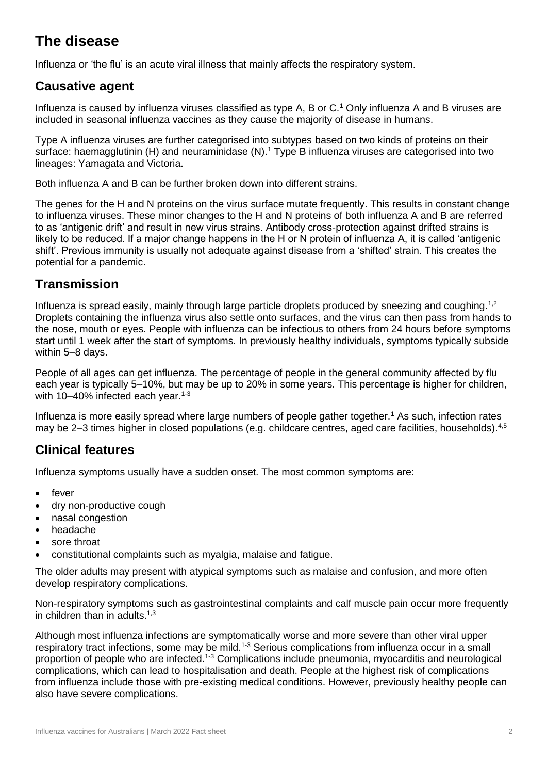# **The disease**

Influenza or 'the flu' is an acute viral illness that mainly affects the respiratory system.

#### **Causative agent**

Influenza is caused by influenza viruses classified as type A, B or C,<sup>1</sup> Only influenza A and B viruses are included in seasonal influenza vaccines as they cause the majority of disease in humans.

Type A influenza viruses are further categorised into subtypes based on two kinds of proteins on their surface: haemagglutinin (H) and neuraminidase (N).<sup>1</sup> Type B influenza viruses are categorised into two lineages: Yamagata and Victoria.

Both influenza A and B can be further broken down into different strains.

The genes for the H and N proteins on the virus surface mutate frequently. This results in constant change to influenza viruses. These minor changes to the H and N proteins of both influenza A and B are referred to as 'antigenic drift' and result in new virus strains. Antibody cross-protection against drifted strains is likely to be reduced. If a major change happens in the H or N protein of influenza A, it is called 'antigenic shift'. Previous immunity is usually not adequate against disease from a 'shifted' strain. This creates the potential for a pandemic.

#### **Transmission**

Influenza is spread easily, mainly through large particle droplets produced by sneezing and coughing.<sup>1,2</sup> Droplets containing the influenza virus also settle onto surfaces, and the virus can then pass from hands to the nose, mouth or eyes. People with influenza can be infectious to others from 24 hours before symptoms start until 1 week after the start of symptoms. In previously healthy individuals, symptoms typically subside within 5–8 days.

People of all ages can get influenza. The percentage of people in the general community affected by flu each year is typically 5–10%, but may be up to 20% in some years. This percentage is higher for children, with 10–40% infected each year. $1-3$ 

Influenza is more easily spread where large numbers of people gather together.<sup>1</sup> As such, infection rates may be 2–3 times higher in closed populations (e.g. childcare centres, aged care facilities, households).4,5

#### **Clinical features**

Influenza symptoms usually have a sudden onset. The most common symptoms are:

- fever
- dry non-productive cough
- nasal congestion
- headache
- sore throat
- constitutional complaints such as myalgia, malaise and fatigue.

The older adults may present with atypical symptoms such as malaise and confusion, and more often develop respiratory complications.

Non-respiratory symptoms such as gastrointestinal complaints and calf muscle pain occur more frequently in children than in adults.<sup>1,3</sup>

Although most influenza infections are symptomatically worse and more severe than other viral upper respiratory tract infections, some may be mild.<sup>1-3</sup> Serious complications from influenza occur in a small proportion of people who are infected.1-3 Complications include pneumonia, myocarditis and neurological complications, which can lead to hospitalisation and death. People at the highest risk of complications from influenza include those with pre-existing medical conditions. However, previously healthy people can also have severe complications.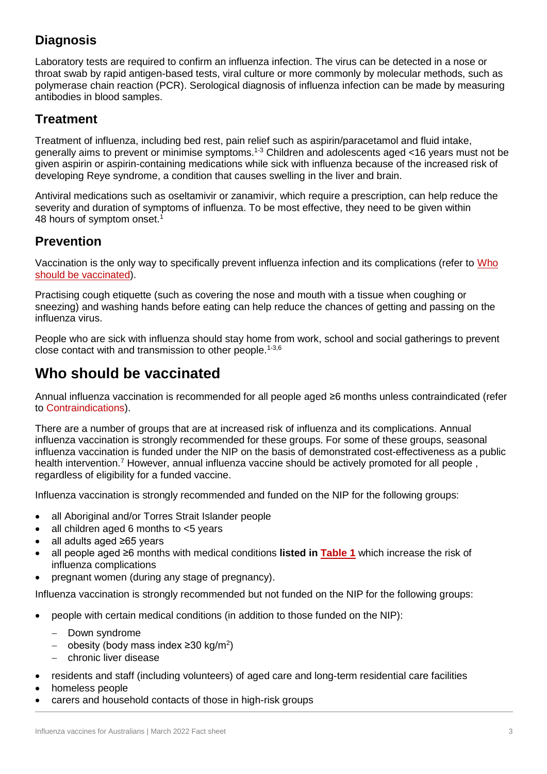### **Diagnosis**

Laboratory tests are required to confirm an influenza infection. The virus can be detected in a nose or throat swab by rapid antigen-based tests, viral culture or more commonly by molecular methods, such as polymerase chain reaction (PCR). Serological diagnosis of influenza infection can be made by measuring antibodies in blood samples.

### **Treatment**

Treatment of influenza, including bed rest, pain relief such as aspirin/paracetamol and fluid intake, generally aims to prevent or minimise symptoms.1-3 Children and adolescents aged <16 years must not be given aspirin or aspirin-containing medications while sick with influenza because of the increased risk of developing Reye syndrome, a condition that causes swelling in the liver and brain.

Antiviral medications such as oseltamivir or zanamivir, which require a prescription, can help reduce the severity and duration of symptoms of influenza. To be most effective, they need to be given within 48 hours of symptom onset.<sup>1</sup>

#### **Prevention**

Vaccination is the only way to specifically prevent influenza infection and its complications (refer to [Who](#page-2-0)  [should be vaccinated\)](#page-2-0).

Practising cough etiquette (such as covering the nose and mouth with a tissue when coughing or sneezing) and washing hands before eating can help reduce the chances of getting and passing on the influenza virus.

People who are sick with influenza should stay home from work, school and social gatherings to prevent close contact with and transmission to other people.<sup>1-3,6</sup>

# <span id="page-2-0"></span>**Who should be vaccinated**

Annual influenza vaccination is recommended for all people aged ≥6 months unless contraindicated (refer to [Contraindications\)](#page-4-0).

There are a number of groups that are at increased risk of influenza and its complications. Annual influenza vaccination is strongly recommended for these groups. For some of these groups, seasonal influenza vaccination is funded under the NIP on the basis of demonstrated cost-effectiveness as a public health intervention.<sup>7</sup> However, annual influenza vaccine should be actively promoted for all people, regardless of eligibility for a funded vaccine.

Influenza vaccination is strongly recommended and funded on the NIP for the following groups:

- all Aboriginal and/or Torres Strait Islander people
- all children aged 6 months to <5 years
- all adults aged ≥65 years
- all people aged ≥6 months with medical conditions **listed in [Table 1](#page-3-0)** which increase the risk of influenza complications
- pregnant women (during any stage of pregnancy).

Influenza vaccination is strongly recommended but not funded on the NIP for the following groups:

- people with certain medical conditions (in addition to those funded on the NIP):
	- Down syndrome
	- $-$  obesity (body mass index ≥30 kg/m<sup>2</sup>)
	- chronic liver disease
	- residents and staff (including volunteers) of aged care and long-term residential care facilities
- homeless people
- carers and household contacts of those in high-risk groups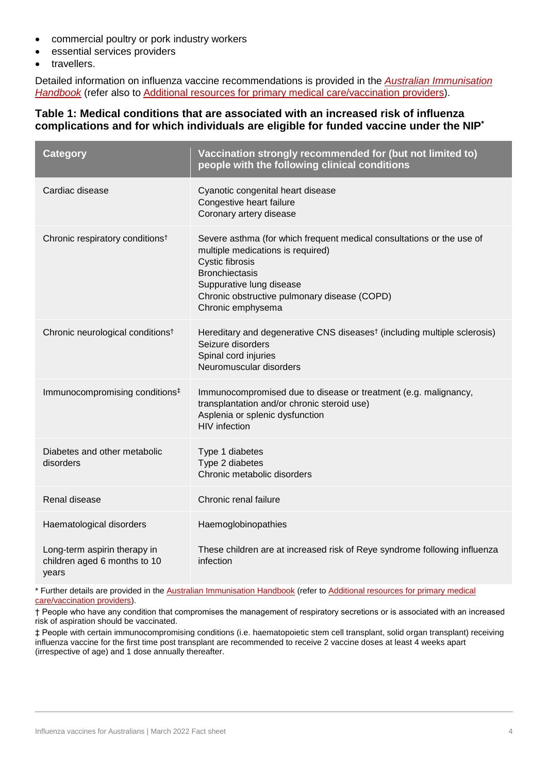- commercial poultry or pork industry workers
- essential services providers
- travellers.

Detailed information on influenza vaccine recommendations is provided in the *[Australian Immunisation](https://immunisationhandbook.health.gov.au/vaccine-preventable-diseases/influenza-flu)*  **[Handbook](https://immunisationhandbook.health.gov.au/vaccine-preventable-diseases/influenza-flu)** (refer also to [Additional resources for primary medical care/vaccination providers\)](#page-9-0).

#### <span id="page-3-0"></span>**Table 1: Medical conditions that are associated with an increased risk of influenza complications and for which individuals are eligible for funded vaccine under the NIP\***

| <b>Category</b>                                                       | Vaccination strongly recommended for (but not limited to)<br>people with the following clinical conditions                                                                                                                                              |
|-----------------------------------------------------------------------|---------------------------------------------------------------------------------------------------------------------------------------------------------------------------------------------------------------------------------------------------------|
| Cardiac disease                                                       | Cyanotic congenital heart disease<br>Congestive heart failure<br>Coronary artery disease                                                                                                                                                                |
| Chronic respiratory conditions <sup>t</sup>                           | Severe asthma (for which frequent medical consultations or the use of<br>multiple medications is required)<br>Cystic fibrosis<br><b>Bronchiectasis</b><br>Suppurative lung disease<br>Chronic obstructive pulmonary disease (COPD)<br>Chronic emphysema |
| Chronic neurological conditions <sup>†</sup>                          | Hereditary and degenerative CNS diseases <sup>†</sup> (including multiple sclerosis)<br>Seizure disorders<br>Spinal cord injuries<br>Neuromuscular disorders                                                                                            |
| Immunocompromising conditions <sup>‡</sup>                            | Immunocompromised due to disease or treatment (e.g. malignancy,<br>transplantation and/or chronic steroid use)<br>Asplenia or splenic dysfunction<br><b>HIV</b> infection                                                                               |
| Diabetes and other metabolic<br>disorders                             | Type 1 diabetes<br>Type 2 diabetes<br>Chronic metabolic disorders                                                                                                                                                                                       |
| Renal disease                                                         | Chronic renal failure                                                                                                                                                                                                                                   |
| Haematological disorders                                              | Haemoglobinopathies                                                                                                                                                                                                                                     |
| Long-term aspirin therapy in<br>children aged 6 months to 10<br>vears | These children are at increased risk of Reye syndrome following influenza<br>infection                                                                                                                                                                  |

\* Further details are provided in th[e Australian Immunisation Handbook](https://immunisationhandbook.health.gov.au/vaccine-preventable-diseases/influenza-flu) (refer t[o Additional resources for primary medical](#page-9-0)  [care/vaccination providers\)](#page-9-0).

† People who have any condition that compromises the management of respiratory secretions or is associated with an increased risk of aspiration should be vaccinated.

‡ People with certain immunocompromising conditions (i.e. haematopoietic stem cell transplant, solid organ transplant) receiving influenza vaccine for the first time post transplant are recommended to receive 2 vaccine doses at least 4 weeks apart (irrespective of age) and 1 dose annually thereafter.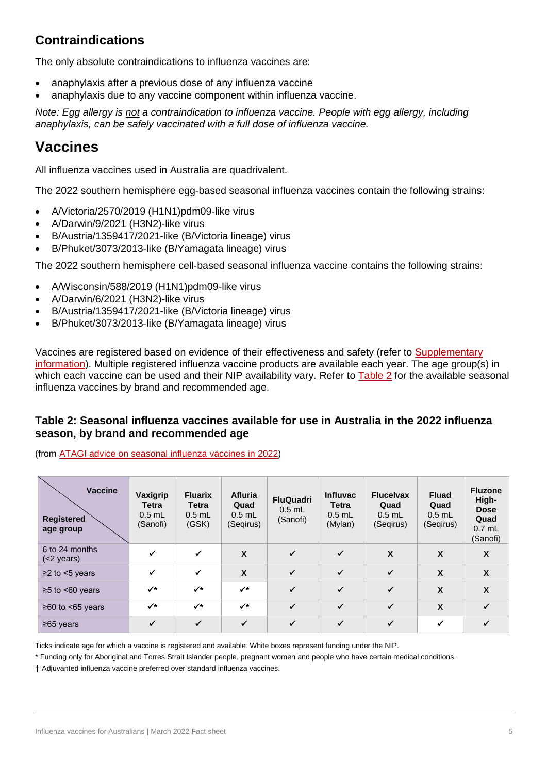### <span id="page-4-0"></span>**Contraindications**

The only absolute contraindications to influenza vaccines are:

- anaphylaxis after a previous dose of any influenza vaccine
- anaphylaxis due to any vaccine component within influenza vaccine.

*Note: Egg allergy is not a contraindication to influenza vaccine. People with egg allergy, including anaphylaxis, can be safely vaccinated with a full dose of influenza vaccine.* 

### **Vaccines**

All influenza vaccines used in Australia are quadrivalent.

The 2022 southern hemisphere egg-based seasonal influenza vaccines contain the following strains:

- A/Victoria/2570/2019 (H1N1)pdm09-like virus
- A/Darwin/9/2021 (H3N2)-like virus
- B/Austria/1359417/2021-like (B/Victoria lineage) virus
- B/Phuket/3073/2013-like (B/Yamagata lineage) virus

The 2022 southern hemisphere cell-based seasonal influenza vaccine contains the following strains:

- A/Wisconsin/588/2019 (H1N1)pdm09-like virus
- A/Darwin/6/2021 (H3N2)-like virus
- B/Austria/1359417/2021-like (B/Victoria lineage) virus
- B/Phuket/3073/2013-like (B/Yamagata lineage) virus

Vaccines are registered based on evidence of their effectiveness and safety (refer to Supplementary information). Multiple registered influenza vaccine products are available each year. The age group(s) in which each vaccine can be used and their NIP availability vary. Refer to **Table 2** for the available seasonal influenza vaccines by brand and recommended age.

#### **Table 2: Seasonal influenza vaccines available for use in Australia in the 2022 influenza season, by brand and recommended age**

(from [ATAGI advice on seasonal influenza vaccines in 2022\)](https://www.health.gov.au/resources/publications/atagi-advice-on-seasonal-influenza-vaccines-in-2022)

| <b>Vaccine</b><br><b>Registered</b><br>age group | Vaxigrip<br>Tetra<br>$0.5$ mL<br>(Sanofi) | <b>Fluarix</b><br><b>Tetra</b><br>$0.5$ mL<br>(GSK) | <b>Afluria</b><br>Quad<br>$0.5$ mL<br>(Seqirus) | <b>FluQuadri</b><br>$0.5$ mL<br>(Sanofi) | <b>Influvac</b><br>Tetra<br>$0.5$ mL<br>(Mylan) | <b>Flucelvax</b><br>Quad<br>$0.5$ mL<br>(Seqirus) | <b>Fluad</b><br>Quad<br>$0.5$ mL<br>(Seqirus) | <b>Fluzone</b><br>High-<br><b>Dose</b><br>Quad<br>$0.7$ mL<br>(Sanofi) |
|--------------------------------------------------|-------------------------------------------|-----------------------------------------------------|-------------------------------------------------|------------------------------------------|-------------------------------------------------|---------------------------------------------------|-----------------------------------------------|------------------------------------------------------------------------|
| 6 to 24 months<br>$(2 years)$                    | ✓                                         | $\checkmark$                                        | $\mathbf{x}$                                    | ✓                                        | $\checkmark$                                    | X                                                 | X                                             | X                                                                      |
| $\geq$ 2 to $\leq$ years                         | $\checkmark$                              | $\checkmark$                                        | $\boldsymbol{\mathsf{X}}$                       | $\checkmark$                             | $\checkmark$                                    | $\checkmark$                                      | X                                             | X                                                                      |
| $\geq$ 5 to <60 years                            | $\checkmark$                              | $\checkmark$                                        | $\checkmark$                                    | $\checkmark$                             | $\checkmark$                                    | $\checkmark$                                      | X                                             | $\boldsymbol{\mathsf{X}}$                                              |
| $≥60$ to $≤65$ years                             | $\checkmark$                              | $\checkmark$                                        | $\checkmark$                                    | $\checkmark$                             | $\checkmark$                                    | $\checkmark$                                      | X                                             | $\checkmark$                                                           |
| $≥65$ years                                      | ✓                                         | ✓                                                   | ✓                                               | $\checkmark$                             | $\checkmark$                                    | $\checkmark$                                      | $\checkmark$                                  | ✓                                                                      |

Ticks indicate age for which a vaccine is registered and available. White boxes represent funding under the NIP.

\* Funding only for Aboriginal and Torres Strait Islander people, pregnant women and people who have certain medical conditions.

† Adjuvanted influenza vaccine preferred over standard influenza vaccines.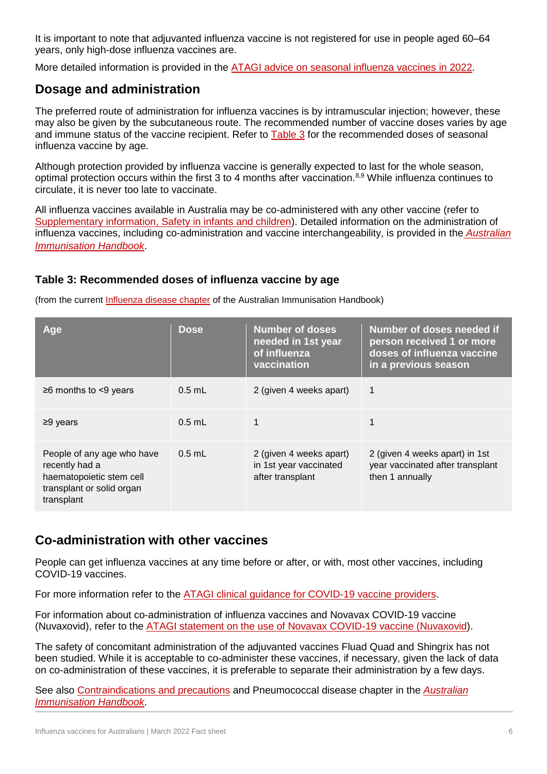It is important to note that adjuvanted influenza vaccine is not registered for use in people aged 60–64 years, only high-dose influenza vaccines are.

More detailed information is provided in the [ATAGI advice on seasonal influenza vaccines](https://www.health.gov.au/resources/publications/atagi-advice-on-seasonal-influenza-vaccines-in-2022) in 2022.

#### **Dosage and administration**

The preferred route of administration for influenza vaccines is by intramuscular injection; however, these may also be given by the subcutaneous route. The recommended number of vaccine doses varies by age and immune status of the vaccine recipient. Refer to [Table 3](#page-5-0) for the recommended doses of seasonal influenza vaccine by age.

Although protection provided by influenza vaccine is generally expected to last for the whole season, optimal protection occurs within the first 3 to 4 months after vaccination.8,9 While influenza continues to circulate, it is never too late to vaccinate.

All influenza vaccines available in Australia may be co-administered with any other vaccine (refer to [Supplementary information, Safety in infants and children\)](#page-5-1). Detailed information on the administration of influenza vaccines, including co-administration and vaccine interchangeability, is provided in the *[Australian](https://immunisationhandbook.health.gov.au/vaccine-preventable-diseases/influenza-flu)  [Immunisation Handbook](https://immunisationhandbook.health.gov.au/vaccine-preventable-diseases/influenza-flu)*.

#### <span id="page-5-0"></span>**Table 3: Recommended doses of influenza vaccine by age**

| Age                                                                                                                 | <b>Dose</b> | <b>Number of doses</b><br>needed in 1st year<br>of influenza<br>vaccination | Number of doses needed if<br>person received 1 or more<br>doses of influenza vaccine<br>in a previous season |
|---------------------------------------------------------------------------------------------------------------------|-------------|-----------------------------------------------------------------------------|--------------------------------------------------------------------------------------------------------------|
| $≥6$ months to <9 years                                                                                             | $0.5$ mL    | 2 (given 4 weeks apart)                                                     | 1                                                                                                            |
| ≥9 years                                                                                                            | $0.5$ mL    |                                                                             |                                                                                                              |
| People of any age who have<br>recently had a<br>haematopoietic stem cell<br>transplant or solid organ<br>transplant | $0.5$ mL    | 2 (given 4 weeks apart)<br>in 1st year vaccinated<br>after transplant       | 2 (given 4 weeks apart) in 1st<br>year vaccinated after transplant<br>then 1 annually                        |

(from the current *Influenza disease chapter* of the Australian Immunisation Handbook)

# <span id="page-5-1"></span>**Co-administration with other vaccines**

People can get influenza vaccines at any time before or after, or with, most other vaccines, including COVID-19 vaccines.

For more information refer to the [ATAGI clinical guidance for COVID-19 vaccine providers.](https://www.health.gov.au/initiatives-and-programs/covid-19-vaccines/advice-for-providers/clinical-guidance/clinical-recommendations)

For information about co-administration of influenza vaccines and Novavax COVID-19 vaccine (Nuvaxovid), refer to the [ATAGI statement on the use of Novavax COVID-19 vaccine \(Nuvaxovid\)](https://www.health.gov.au/news/atagi-statement-on-the-use-of-novavax-covid-19-vaccine-nuvaxovid).

The safety of concomitant administration of the adjuvanted vaccines Fluad Quad and Shingrix has not been studied. While it is acceptable to co-administer these vaccines, if necessary, given the lack of data on co-administration of these vaccines, it is preferable to separate their administration by a few days.

See also [Contraindications and precautions](#page-4-0) and Pneumococcal disease chapter in the *[Australian](https://immunisationhandbook.health.gov.au/vaccine-preventable-diseases/pneumococcal-disease)  [Immunisation Handbook](https://immunisationhandbook.health.gov.au/vaccine-preventable-diseases/pneumococcal-disease)*.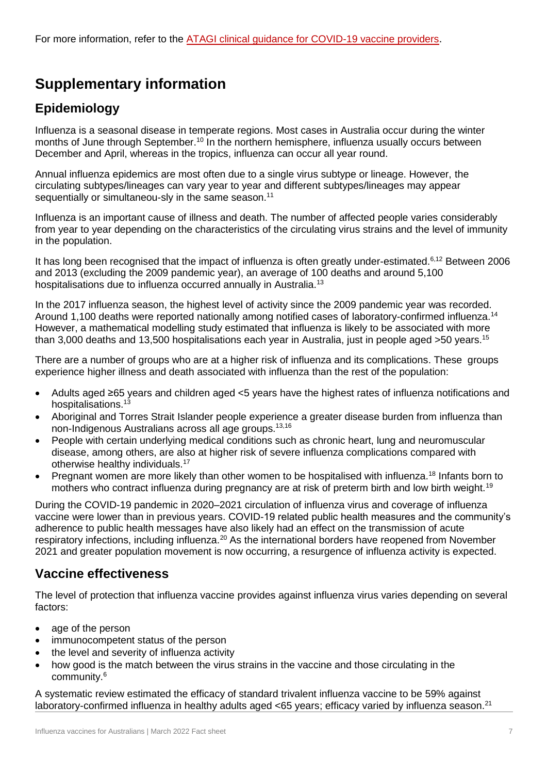# **Supplementary information**

### **Epidemiology**

Influenza is a seasonal disease in temperate regions. Most cases in Australia occur during the winter months of June through September.<sup>10</sup> In the northern hemisphere, influenza usually occurs between December and April, whereas in the tropics, influenza can occur all year round.

Annual influenza epidemics are most often due to a single virus subtype or lineage. However, the circulating subtypes/lineages can vary year to year and different subtypes/lineages may appear sequentially or simultaneou-sly in the same season.<sup>11</sup>

Influenza is an important cause of illness and death. The number of affected people varies considerably from year to year depending on the characteristics of the circulating virus strains and the level of immunity in the population.

It has long been recognised that the impact of influenza is often greatly under-estimated.<sup>6,12</sup> Between 2006 and 2013 (excluding the 2009 pandemic year), an average of 100 deaths and around 5,100 hospitalisations due to influenza occurred annually in Australia.<sup>13</sup>

In the 2017 influenza season, the highest level of activity since the 2009 pandemic year was recorded. Around 1,100 deaths were reported nationally among notified cases of laboratory-confirmed influenza.<sup>14</sup> However, a mathematical modelling study estimated that influenza is likely to be associated with more than 3,000 deaths and 13,500 hospitalisations each year in Australia, just in people aged >50 years.<sup>15</sup>

There are a number of groups who are at a higher risk of influenza and its complications. These groups experience higher illness and death associated with influenza than the rest of the population:

- Adults aged ≥65 years and children aged <5 years have the highest rates of influenza notifications and hospitalisations.<sup>13</sup>
- Aboriginal and Torres Strait Islander people experience a greater disease burden from influenza than non-Indigenous Australians across all age groups.13,16
- People with certain underlying medical conditions such as chronic heart, lung and neuromuscular disease, among others, are also at higher risk of severe influenza complications compared with otherwise healthy individuals.<sup>17</sup>
- Pregnant women are more likely than other women to be hospitalised with influenza.<sup>18</sup> Infants born to mothers who contract influenza during pregnancy are at risk of preterm birth and low birth weight.<sup>19</sup>

During the COVID-19 pandemic in 2020–2021 circulation of influenza virus and coverage of influenza vaccine were lower than in previous years. COVID-19 related public health measures and the community's adherence to public health messages have also likely had an effect on the transmission of acute respiratory infections, including influenza.<sup>20</sup> As the international borders have reopened from November 2021 and greater population movement is now occurring, a resurgence of influenza activity is expected.

#### **Vaccine effectiveness**

The level of protection that influenza vaccine provides against influenza virus varies depending on several factors:

- age of the person
- immunocompetent status of the person
- the level and severity of influenza activity
- how good is the match between the virus strains in the vaccine and those circulating in the community.<sup>6</sup>

A systematic review estimated the efficacy of standard trivalent influenza vaccine to be 59% against laboratory-confirmed influenza in healthy adults aged <65 years; efficacy varied by influenza season.<sup>21</sup>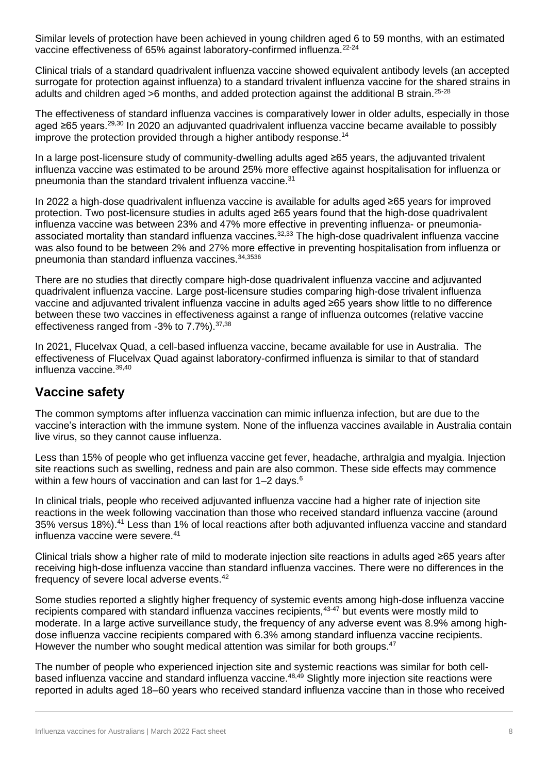Similar levels of protection have been achieved in young children aged 6 to 59 months, with an estimated vaccine effectiveness of 65% against laboratory-confirmed influenza.<sup>22-24</sup>

Clinical trials of a standard quadrivalent influenza vaccine showed equivalent antibody levels (an accepted surrogate for protection against influenza) to a standard trivalent influenza vaccine for the shared strains in adults and children aged  $>6$  months, and added protection against the additional B strain.<sup>25-28</sup>

The effectiveness of standard influenza vaccines is comparatively lower in older adults, especially in those aged ≥65 years.29,30 In 2020 an adjuvanted quadrivalent influenza vaccine became available to possibly improve the protection provided through a higher antibody response.<sup>14</sup>

In a large post-licensure study of community-dwelling adults aged ≥65 years, the adjuvanted trivalent influenza vaccine was estimated to be around 25% more effective against hospitalisation for influenza or pneumonia than the standard trivalent influenza vaccine. 31

In 2022 a high-dose quadrivalent influenza vaccine is available for adults aged ≥65 years for improved protection. Two post-licensure studies in adults aged ≥65 years found that the high-dose quadrivalent influenza vaccine was between 23% and 47% more effective in preventing influenza- or pneumoniaassociated mortality than standard influenza vaccines.<sup>32,33</sup> The high-dose quadrivalent influenza vaccine was also found to be between 2% and 27% more effective in preventing hospitalisation from influenza or pneumonia than standard influenza vaccines.34,3536

There are no studies that directly compare high-dose quadrivalent influenza vaccine and adjuvanted quadrivalent influenza vaccine. Large post-licensure studies comparing high-dose trivalent influenza vaccine and adjuvanted trivalent influenza vaccine in adults aged ≥65 years show little to no difference between these two vaccines in effectiveness against a range of influenza outcomes (relative vaccine effectiveness ranged from -3% to 7.7%).37,38

In 2021, Flucelvax Quad, a cell-based influenza vaccine, became available for use in Australia. The effectiveness of Flucelvax Quad against laboratory-confirmed influenza is similar to that of standard influenza vaccine.39,40

### **Vaccine safety**

The common symptoms after influenza vaccination can mimic influenza infection, but are due to the vaccine's interaction with the immune system. None of the influenza vaccines available in Australia contain live virus, so they cannot cause influenza.

Less than 15% of people who get influenza vaccine get fever, headache, arthralgia and myalgia. Injection site reactions such as swelling, redness and pain are also common. These side effects may commence within a few hours of vaccination and can last for 1–2 days.<sup>6</sup>

In clinical trials, people who received adjuvanted influenza vaccine had a higher rate of injection site reactions in the week following vaccination than those who received standard influenza vaccine (around 35% versus 18%). <sup>41</sup> Less than 1% of local reactions after both adjuvanted influenza vaccine and standard influenza vaccine were severe.<sup>41</sup>

Clinical trials show a higher rate of mild to moderate injection site reactions in adults aged ≥65 years after receiving high-dose influenza vaccine than standard influenza vaccines. There were no differences in the frequency of severe local adverse events.<sup>42</sup>

Some studies reported a slightly higher frequency of systemic events among high-dose influenza vaccine recipients compared with standard influenza vaccines recipients,43-47 but events were mostly mild to moderate. In a large active surveillance study, the frequency of any adverse event was 8.9% among highdose influenza vaccine recipients compared with 6.3% among standard influenza vaccine recipients. However the number who sought medical attention was similar for both groups.<sup>47</sup>

The number of people who experienced injection site and systemic reactions was similar for both cellbased influenza vaccine and standard influenza vaccine.<sup>48,49</sup> Slightly more injection site reactions were reported in adults aged 18–60 years who received standard influenza vaccine than in those who received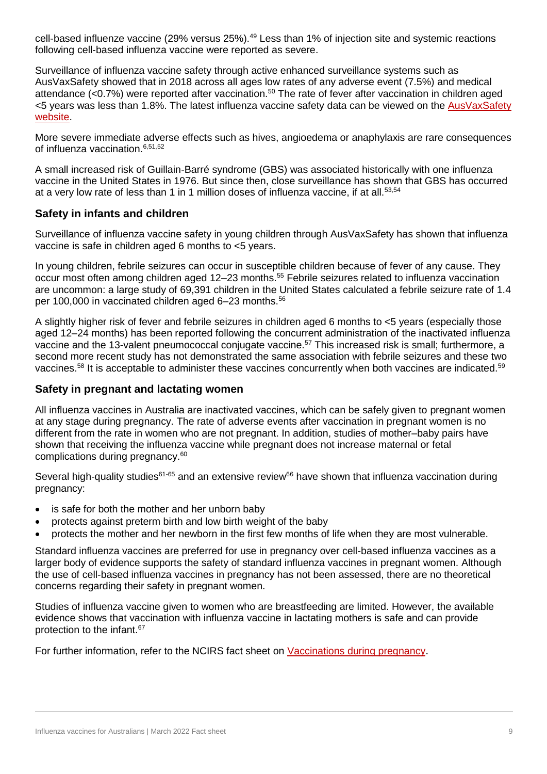cell-based influenze vaccine (29% versus 25%).<sup>49</sup> Less than 1% of injection site and systemic reactions following cell-based influenza vaccine were reported as severe.

Surveillance of influenza vaccine safety through active enhanced surveillance systems such as AusVaxSafety showed that in 2018 across all ages low rates of any adverse event (7.5%) and medical attendance (<0.7%) were reported after vaccination.<sup>50</sup> The rate of fever after vaccination in children aged <5 years was less than 1.8%. The latest influenza vaccine safety data can be viewed on the [AusVaxSafety](https://ausvaxsafety.org.au/safety-data/influenza-vaccine)  [website.](https://ausvaxsafety.org.au/safety-data/influenza-vaccine)

More severe immediate adverse effects such as hives, angioedema or anaphylaxis are rare consequences of influenza vaccination.6,51,52

A small increased risk of Guillain-Barré syndrome (GBS) was associated historically with one influenza vaccine in the United States in 1976. But since then, close surveillance has shown that GBS has occurred at a very low rate of less than 1 in 1 million doses of influenza vaccine, if at all.<sup>53,54</sup>

#### **Safety in infants and children**

Surveillance of influenza vaccine safety in young children through AusVaxSafety has shown that influenza vaccine is safe in children aged 6 months to <5 years.

In young children, febrile seizures can occur in susceptible children because of fever of any cause. They occur most often among children aged 12–23 months.<sup>55</sup> Febrile seizures related to influenza vaccination are uncommon: a large study of 69,391 children in the United States calculated a febrile seizure rate of 1.4 per 100,000 in vaccinated children aged 6–23 months. 56

A slightly higher risk of fever and febrile seizures in children aged 6 months to <5 years (especially those aged 12–24 months) has been reported following the concurrent administration of the inactivated influenza vaccine and the 13-valent pneumococcal conjugate vaccine.<sup>57</sup> This increased risk is small; furthermore, a second more recent study has not demonstrated the same association with febrile seizures and these two vaccines.<sup>58</sup> It is acceptable to administer these vaccines concurrently when both vaccines are indicated.<sup>59</sup>

#### **Safety in pregnant and lactating women**

All influenza vaccines in Australia are inactivated vaccines, which can be safely given to pregnant women at any stage during pregnancy. The rate of adverse events after vaccination in pregnant women is no different from the rate in women who are not pregnant. In addition, studies of mother–baby pairs have shown that receiving the influenza vaccine while pregnant does not increase maternal or fetal complications during pregnancy.<sup>60</sup>

Several high-quality studies<sup>61-65</sup> and an extensive review<sup>66</sup> have shown that influenza vaccination during pregnancy:

- is safe for both the mother and her unborn baby
- protects against preterm birth and low birth weight of the baby
- protects the mother and her newborn in the first few months of life when they are most vulnerable.

Standard influenza vaccines are preferred for use in pregnancy over cell-based influenza vaccines as a larger body of evidence supports the safety of standard influenza vaccines in pregnant women. Although the use of cell-based influenza vaccines in pregnancy has not been assessed, there are no theoretical concerns regarding their safety in pregnant women.

Studies of influenza vaccine given to women who are breastfeeding are limited. However, the available evidence shows that vaccination with influenza vaccine in lactating mothers is safe and can provide protection to the infant.<sup>67</sup>

For further information, refer to the NCIRS fact sheet on [Vaccinations during pregnancy](http://ncirs.org.au/ncirs-fact-sheets-faqs/vaccinations-during-pregnancy).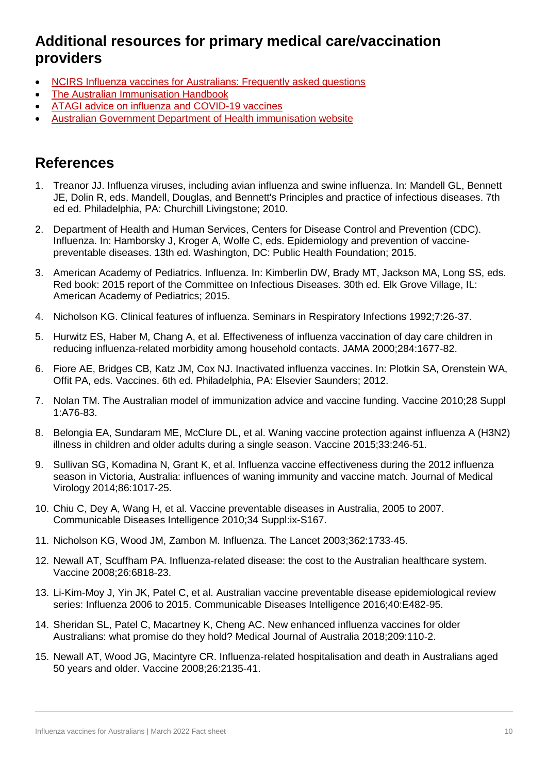# <span id="page-9-0"></span>**Additional resources for primary medical care/vaccination providers**

- [NCIRS Influenza vaccines for Australians: Frequently asked questions](https://www.ncirs.org.au/ncirs-fact-sheets-faqs/influenza-vaccines-australians-faqs)
- [The Australian Immunisation Handbook](https://immunisationhandbook.health.gov.au/)
- [ATAGI advice on influenza and COVID-19 vaccines](https://www.health.gov.au/resources/publications/covid-19-vaccination-atagi-advice-on-influenza-and-covid-19-vaccines)
- [Australian Government Department of Health immunisation website](https://www.health.gov.au/health-topics/immunisation)

### <span id="page-9-1"></span>**References**

- 1. Treanor JJ. Influenza viruses, including avian influenza and swine influenza. In: Mandell GL, Bennett JE, Dolin R, eds. Mandell, Douglas, and Bennett's Principles and practice of infectious diseases. 7th ed ed. Philadelphia, PA: Churchill Livingstone; 2010.
- 2. Department of Health and Human Services, Centers for Disease Control and Prevention (CDC). Influenza. In: Hamborsky J, Kroger A, Wolfe C, eds. Epidemiology and prevention of vaccinepreventable diseases. 13th ed. Washington, DC: Public Health Foundation; 2015.
- 3. American Academy of Pediatrics. Influenza. In: Kimberlin DW, Brady MT, Jackson MA, Long SS, eds. Red book: 2015 report of the Committee on Infectious Diseases. 30th ed. Elk Grove Village, IL: American Academy of Pediatrics; 2015.
- 4. Nicholson KG. Clinical features of influenza. Seminars in Respiratory Infections 1992;7:26-37.
- 5. Hurwitz ES, Haber M, Chang A, et al. Effectiveness of influenza vaccination of day care children in reducing influenza-related morbidity among household contacts. JAMA 2000;284:1677-82.
- 6. Fiore AE, Bridges CB, Katz JM, Cox NJ. Inactivated influenza vaccines. In: Plotkin SA, Orenstein WA, Offit PA, eds. Vaccines. 6th ed. Philadelphia, PA: Elsevier Saunders; 2012.
- 7. Nolan TM. The Australian model of immunization advice and vaccine funding. Vaccine 2010;28 Suppl 1:A76-83.
- 8. Belongia EA, Sundaram ME, McClure DL, et al. Waning vaccine protection against influenza A (H3N2) illness in children and older adults during a single season. Vaccine 2015;33:246-51.
- 9. Sullivan SG, Komadina N, Grant K, et al. Influenza vaccine effectiveness during the 2012 influenza season in Victoria, Australia: influences of waning immunity and vaccine match. Journal of Medical Virology 2014;86:1017-25.
- 10. Chiu C, Dey A, Wang H, et al. Vaccine preventable diseases in Australia, 2005 to 2007. Communicable Diseases Intelligence 2010;34 Suppl:ix-S167.
- 11. Nicholson KG, Wood JM, Zambon M. Influenza. The Lancet 2003;362:1733-45.
- 12. Newall AT, Scuffham PA. Influenza-related disease: the cost to the Australian healthcare system. Vaccine 2008;26:6818-23.
- 13. Li-Kim-Moy J, Yin JK, Patel C, et al. Australian vaccine preventable disease epidemiological review series: Influenza 2006 to 2015. Communicable Diseases Intelligence 2016;40:E482-95.
- 14. Sheridan SL, Patel C, Macartney K, Cheng AC. New enhanced influenza vaccines for older Australians: what promise do they hold? Medical Journal of Australia 2018;209:110-2.
- 15. Newall AT, Wood JG, Macintyre CR. Influenza-related hospitalisation and death in Australians aged 50 years and older. Vaccine 2008;26:2135-41.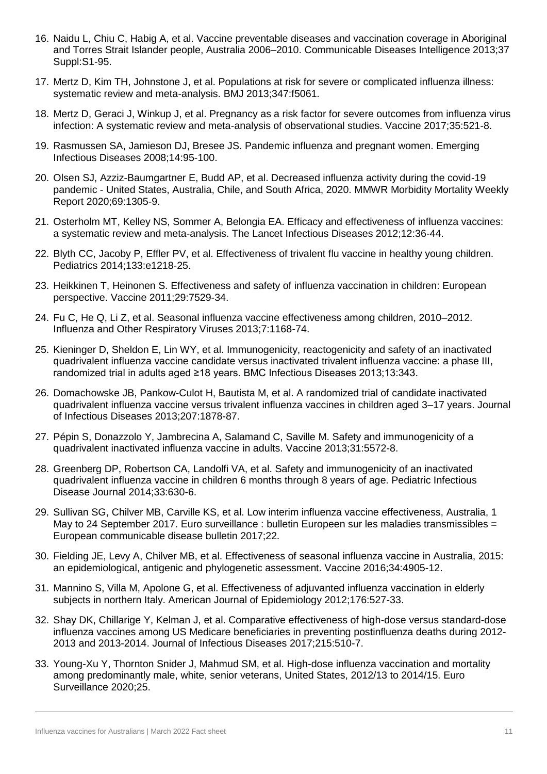- 16. Naidu L, Chiu C, Habig A, et al. Vaccine preventable diseases and vaccination coverage in Aboriginal and Torres Strait Islander people, Australia 2006–2010. Communicable Diseases Intelligence 2013;37 Suppl:S1-95.
- 17. Mertz D, Kim TH, Johnstone J, et al. Populations at risk for severe or complicated influenza illness: systematic review and meta-analysis. BMJ 2013;347:f5061.
- 18. Mertz D, Geraci J, Winkup J, et al. Pregnancy as a risk factor for severe outcomes from influenza virus infection: A systematic review and meta-analysis of observational studies. Vaccine 2017;35:521-8.
- 19. Rasmussen SA, Jamieson DJ, Bresee JS. Pandemic influenza and pregnant women. Emerging Infectious Diseases 2008;14:95-100.
- 20. Olsen SJ, Azziz-Baumgartner E, Budd AP, et al. Decreased influenza activity during the covid-19 pandemic - United States, Australia, Chile, and South Africa, 2020. MMWR Morbidity Mortality Weekly Report 2020;69:1305-9.
- 21. Osterholm MT, Kelley NS, Sommer A, Belongia EA. Efficacy and effectiveness of influenza vaccines: a systematic review and meta-analysis. The Lancet Infectious Diseases 2012;12:36-44.
- 22. Blyth CC, Jacoby P, Effler PV, et al. Effectiveness of trivalent flu vaccine in healthy young children. Pediatrics 2014;133:e1218-25.
- 23. Heikkinen T, Heinonen S. Effectiveness and safety of influenza vaccination in children: European perspective. Vaccine 2011;29:7529-34.
- 24. Fu C, He Q, Li Z, et al. Seasonal influenza vaccine effectiveness among children, 2010–2012. Influenza and Other Respiratory Viruses 2013;7:1168-74.
- 25. Kieninger D, Sheldon E, Lin WY, et al. Immunogenicity, reactogenicity and safety of an inactivated quadrivalent influenza vaccine candidate versus inactivated trivalent influenza vaccine: a phase III, randomized trial in adults aged ≥18 years. BMC Infectious Diseases 2013;13:343.
- 26. Domachowske JB, Pankow-Culot H, Bautista M, et al. A randomized trial of candidate inactivated quadrivalent influenza vaccine versus trivalent influenza vaccines in children aged 3–17 years. Journal of Infectious Diseases 2013;207:1878-87.
- 27. Pépin S, Donazzolo Y, Jambrecina A, Salamand C, Saville M. Safety and immunogenicity of a quadrivalent inactivated influenza vaccine in adults. Vaccine 2013;31:5572-8.
- 28. Greenberg DP, Robertson CA, Landolfi VA, et al. Safety and immunogenicity of an inactivated quadrivalent influenza vaccine in children 6 months through 8 years of age. Pediatric Infectious Disease Journal 2014;33:630-6.
- 29. Sullivan SG, Chilver MB, Carville KS, et al. Low interim influenza vaccine effectiveness, Australia, 1 May to 24 September 2017. Euro surveillance : bulletin Europeen sur les maladies transmissibles = European communicable disease bulletin 2017;22.
- 30. Fielding JE, Levy A, Chilver MB, et al. Effectiveness of seasonal influenza vaccine in Australia, 2015: an epidemiological, antigenic and phylogenetic assessment. Vaccine 2016;34:4905-12.
- 31. Mannino S, Villa M, Apolone G, et al. Effectiveness of adjuvanted influenza vaccination in elderly subjects in northern Italy. American Journal of Epidemiology 2012;176:527-33.
- 32. Shay DK, Chillarige Y, Kelman J, et al. Comparative effectiveness of high-dose versus standard-dose influenza vaccines among US Medicare beneficiaries in preventing postinfluenza deaths during 2012- 2013 and 2013-2014. Journal of Infectious Diseases 2017;215:510-7.
- 33. Young-Xu Y, Thornton Snider J, Mahmud SM, et al. High-dose influenza vaccination and mortality among predominantly male, white, senior veterans, United States, 2012/13 to 2014/15. Euro Surveillance 2020;25.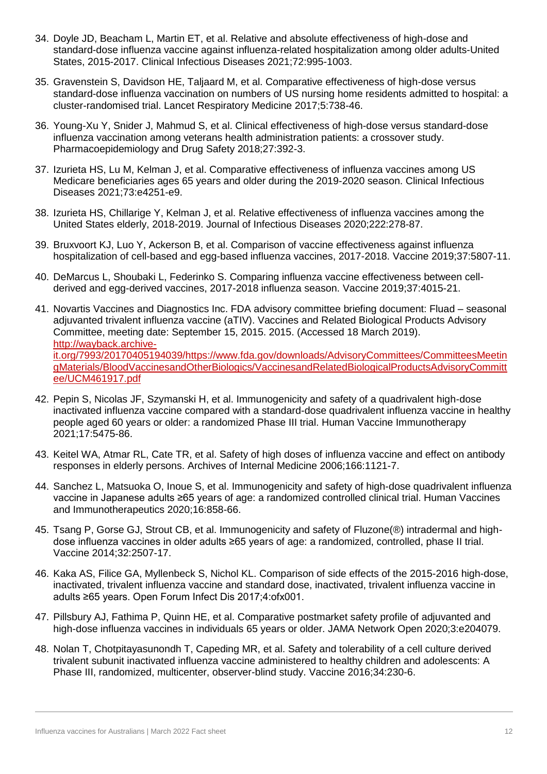- 34. Doyle JD, Beacham L, Martin ET, et al. Relative and absolute effectiveness of high-dose and standard-dose influenza vaccine against influenza-related hospitalization among older adults-United States, 2015-2017. Clinical Infectious Diseases 2021;72:995-1003.
- 35. Gravenstein S, Davidson HE, Taljaard M, et al. Comparative effectiveness of high-dose versus standard-dose influenza vaccination on numbers of US nursing home residents admitted to hospital: a cluster-randomised trial. Lancet Respiratory Medicine 2017;5:738-46.
- 36. Young-Xu Y, Snider J, Mahmud S, et al. Clinical effectiveness of high-dose versus standard-dose influenza vaccination among veterans health administration patients: a crossover study. Pharmacoepidemiology and Drug Safety 2018;27:392-3.
- 37. Izurieta HS, Lu M, Kelman J, et al. Comparative effectiveness of influenza vaccines among US Medicare beneficiaries ages 65 years and older during the 2019-2020 season. Clinical Infectious Diseases 2021;73:e4251-e9.
- 38. Izurieta HS, Chillarige Y, Kelman J, et al. Relative effectiveness of influenza vaccines among the United States elderly, 2018-2019. Journal of Infectious Diseases 2020;222:278-87.
- 39. Bruxvoort KJ, Luo Y, Ackerson B, et al. Comparison of vaccine effectiveness against influenza hospitalization of cell-based and egg-based influenza vaccines, 2017-2018. Vaccine 2019;37:5807-11.
- 40. DeMarcus L, Shoubaki L, Federinko S. Comparing influenza vaccine effectiveness between cellderived and egg-derived vaccines, 2017-2018 influenza season. Vaccine 2019;37:4015-21.
- 41. Novartis Vaccines and Diagnostics Inc. FDA advisory committee briefing document: Fluad seasonal adjuvanted trivalent influenza vaccine (aTIV). Vaccines and Related Biological Products Advisory Committee, meeting date: September 15, 2015. 2015. (Accessed 18 March 2019). [http://wayback.archive](http://wayback.archive-it.org/7993/20170405194039/https:/www.fda.gov/downloads/AdvisoryCommittees/CommitteesMeetingMaterials/BloodVaccinesandOtherBiologics/VaccinesandRelatedBiologicalProductsAdvisoryCommittee/UCM461917.pdf)[it.org/7993/20170405194039/https://www.fda.gov/downloads/AdvisoryCommittees/CommitteesMeetin](http://wayback.archive-it.org/7993/20170405194039/https:/www.fda.gov/downloads/AdvisoryCommittees/CommitteesMeetingMaterials/BloodVaccinesandOtherBiologics/VaccinesandRelatedBiologicalProductsAdvisoryCommittee/UCM461917.pdf) [gMaterials/BloodVaccinesandOtherBiologics/VaccinesandRelatedBiologicalProductsAdvisoryCommitt](http://wayback.archive-it.org/7993/20170405194039/https:/www.fda.gov/downloads/AdvisoryCommittees/CommitteesMeetingMaterials/BloodVaccinesandOtherBiologics/VaccinesandRelatedBiologicalProductsAdvisoryCommittee/UCM461917.pdf) [ee/UCM461917.pdf](http://wayback.archive-it.org/7993/20170405194039/https:/www.fda.gov/downloads/AdvisoryCommittees/CommitteesMeetingMaterials/BloodVaccinesandOtherBiologics/VaccinesandRelatedBiologicalProductsAdvisoryCommittee/UCM461917.pdf)
- 42. Pepin S, Nicolas JF, Szymanski H, et al. Immunogenicity and safety of a quadrivalent high-dose inactivated influenza vaccine compared with a standard-dose quadrivalent influenza vaccine in healthy people aged 60 years or older: a randomized Phase III trial. Human Vaccine Immunotherapy 2021;17:5475-86.
- 43. Keitel WA, Atmar RL, Cate TR, et al. Safety of high doses of influenza vaccine and effect on antibody responses in elderly persons. Archives of Internal Medicine 2006;166:1121-7.
- 44. Sanchez L, Matsuoka O, Inoue S, et al. Immunogenicity and safety of high-dose quadrivalent influenza vaccine in Japanese adults ≥65 years of age: a randomized controlled clinical trial. Human Vaccines and Immunotherapeutics 2020;16:858-66.
- 45. Tsang P, Gorse GJ, Strout CB, et al. Immunogenicity and safety of Fluzone(®) intradermal and highdose influenza vaccines in older adults ≥65 years of age: a randomized, controlled, phase II trial. Vaccine 2014;32:2507-17.
- 46. Kaka AS, Filice GA, Myllenbeck S, Nichol KL. Comparison of side effects of the 2015-2016 high-dose, inactivated, trivalent influenza vaccine and standard dose, inactivated, trivalent influenza vaccine in adults ≥65 years. Open Forum Infect Dis 2017;4:ofx001.
- 47. Pillsbury AJ, Fathima P, Quinn HE, et al. Comparative postmarket safety profile of adjuvanted and high-dose influenza vaccines in individuals 65 years or older. JAMA Network Open 2020;3:e204079.
- 48. Nolan T, Chotpitayasunondh T, Capeding MR, et al. Safety and tolerability of a cell culture derived trivalent subunit inactivated influenza vaccine administered to healthy children and adolescents: A Phase III, randomized, multicenter, observer-blind study. Vaccine 2016;34:230-6.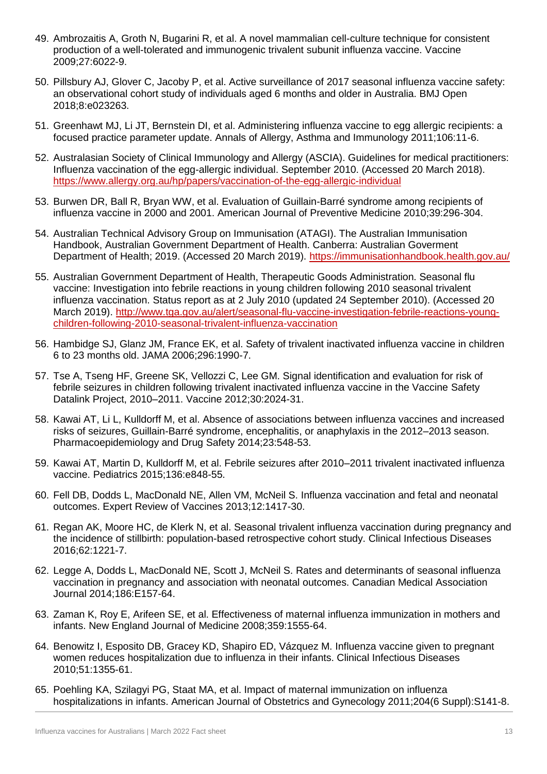- 49. Ambrozaitis A, Groth N, Bugarini R, et al. A novel mammalian cell-culture technique for consistent production of a well-tolerated and immunogenic trivalent subunit influenza vaccine. Vaccine 2009;27:6022-9.
- 50. Pillsbury AJ, Glover C, Jacoby P, et al. Active surveillance of 2017 seasonal influenza vaccine safety: an observational cohort study of individuals aged 6 months and older in Australia. BMJ Open 2018;8:e023263.
- 51. Greenhawt MJ, Li JT, Bernstein DI, et al. Administering influenza vaccine to egg allergic recipients: a focused practice parameter update. Annals of Allergy, Asthma and Immunology 2011;106:11-6.
- 52. Australasian Society of Clinical Immunology and Allergy (ASCIA). Guidelines for medical practitioners: Influenza vaccination of the egg-allergic individual. September 2010. (Accessed 20 March 2018). <https://www.allergy.org.au/hp/papers/vaccination-of-the-egg-allergic-individual>
- 53. Burwen DR, Ball R, Bryan WW, et al. Evaluation of Guillain-Barré syndrome among recipients of influenza vaccine in 2000 and 2001. American Journal of Preventive Medicine 2010;39:296-304.
- 54. Australian Technical Advisory Group on Immunisation (ATAGI). The Australian Immunisation Handbook, Australian Government Department of Health. Canberra: Australian Goverment Department of Health; 2019. (Accessed 20 March 2019).<https://immunisationhandbook.health.gov.au/>
- 55. Australian Government Department of Health, Therapeutic Goods Administration. Seasonal flu vaccine: Investigation into febrile reactions in young children following 2010 seasonal trivalent influenza vaccination. Status report as at 2 July 2010 (updated 24 September 2010). (Accessed 20 March 2019). [http://www.tga.gov.au/alert/seasonal-flu-vaccine-investigation-febrile-reactions-young](http://www.tga.gov.au/alert/seasonal-flu-vaccine-investigation-febrile-reactions-young-children-following-2010-seasonal-trivalent-influenza-vaccination)[children-following-2010-seasonal-trivalent-influenza-vaccination](http://www.tga.gov.au/alert/seasonal-flu-vaccine-investigation-febrile-reactions-young-children-following-2010-seasonal-trivalent-influenza-vaccination)
- 56. Hambidge SJ, Glanz JM, France EK, et al. Safety of trivalent inactivated influenza vaccine in children 6 to 23 months old. JAMA 2006;296:1990-7.
- 57. Tse A, Tseng HF, Greene SK, Vellozzi C, Lee GM. Signal identification and evaluation for risk of febrile seizures in children following trivalent inactivated influenza vaccine in the Vaccine Safety Datalink Project, 2010–2011. Vaccine 2012;30:2024-31.
- 58. Kawai AT, Li L, Kulldorff M, et al. Absence of associations between influenza vaccines and increased risks of seizures, Guillain-Barré syndrome, encephalitis, or anaphylaxis in the 2012–2013 season. Pharmacoepidemiology and Drug Safety 2014;23:548-53.
- 59. Kawai AT, Martin D, Kulldorff M, et al. Febrile seizures after 2010–2011 trivalent inactivated influenza vaccine. Pediatrics 2015;136:e848-55.
- 60. Fell DB, Dodds L, MacDonald NE, Allen VM, McNeil S. Influenza vaccination and fetal and neonatal outcomes. Expert Review of Vaccines 2013;12:1417-30.
- 61. Regan AK, Moore HC, de Klerk N, et al. Seasonal trivalent influenza vaccination during pregnancy and the incidence of stillbirth: population-based retrospective cohort study. Clinical Infectious Diseases 2016;62:1221-7.
- 62. Legge A, Dodds L, MacDonald NE, Scott J, McNeil S. Rates and determinants of seasonal influenza vaccination in pregnancy and association with neonatal outcomes. Canadian Medical Association Journal 2014;186:E157-64.
- 63. Zaman K, Roy E, Arifeen SE, et al. Effectiveness of maternal influenza immunization in mothers and infants. New England Journal of Medicine 2008;359:1555-64.
- 64. Benowitz I, Esposito DB, Gracey KD, Shapiro ED, Vázquez M. Influenza vaccine given to pregnant women reduces hospitalization due to influenza in their infants. Clinical Infectious Diseases 2010;51:1355-61.
- 65. Poehling KA, Szilagyi PG, Staat MA, et al. Impact of maternal immunization on influenza hospitalizations in infants. American Journal of Obstetrics and Gynecology 2011;204(6 Suppl):S141-8.